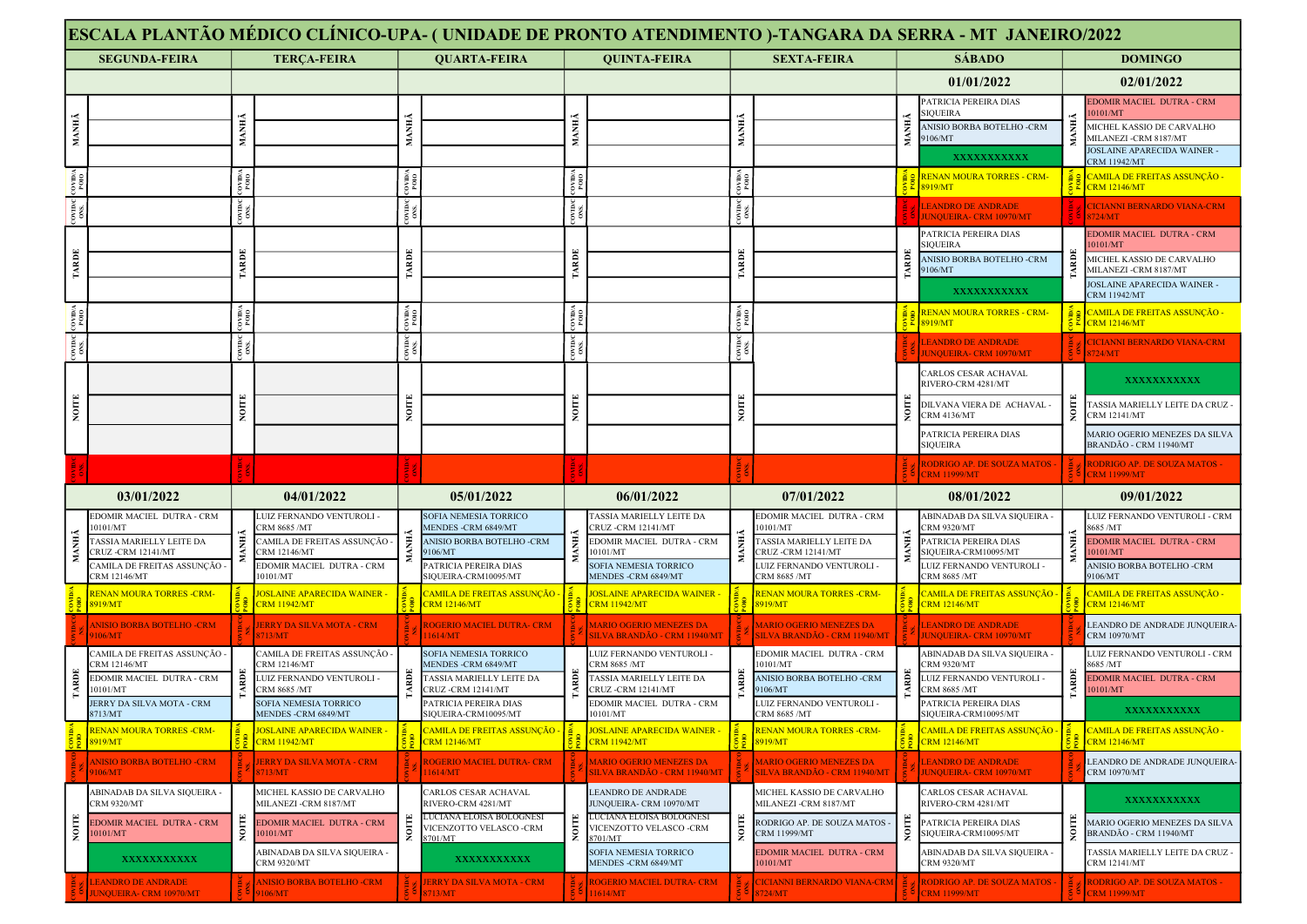|                 |                                                 |                                                          |                                                                 |                                                           |                                                                           |              | ESCALA PLANTÃO MÉDICO CLÍNICO-UPA- (UNIDADE DE PRONTO ATENDIMENTO )-TANGARA DA SERRA - MT JANEIRO/2022 |               |                                                                |               |                                                                     |   |                                                                                  |
|-----------------|-------------------------------------------------|----------------------------------------------------------|-----------------------------------------------------------------|-----------------------------------------------------------|---------------------------------------------------------------------------|--------------|--------------------------------------------------------------------------------------------------------|---------------|----------------------------------------------------------------|---------------|---------------------------------------------------------------------|---|----------------------------------------------------------------------------------|
|                 | <b>SEGUNDA-FEIRA</b>                            |                                                          | <b>TERÇA-FEIRA</b>                                              |                                                           | <b>QUARTA-FEIRA</b>                                                       |              | <b>OUINTA-FEIRA</b>                                                                                    |               | <b>SEXTA-FEIRA</b>                                             |               | <b>SÁBADO</b>                                                       |   | <b>DOMINGO</b>                                                                   |
|                 |                                                 |                                                          |                                                                 |                                                           |                                                                           |              |                                                                                                        |               |                                                                |               | 01/01/2022                                                          |   | 02/01/2022                                                                       |
|                 |                                                 |                                                          |                                                                 |                                                           |                                                                           |              |                                                                                                        |               |                                                                |               | <b>PATRICIA PEREIRA DIAS</b><br>IQUEIRA                             |   | DOMIR MACIEL DUTRA - CRM<br>0101/MT                                              |
| МАННА           |                                                 | МАННА                                                    |                                                                 |                                                           |                                                                           | <b>MANH</b>  |                                                                                                        | MANHÃ         |                                                                | MANHÃ         | <b>NISIO BORBA BOTELHO -CRM</b><br>106/MT                           |   | MICHEL KASSIO DE CARVALHO<br>MILANEZI -CRM 8187/MT                               |
|                 |                                                 |                                                          |                                                                 |                                                           |                                                                           |              |                                                                                                        |               |                                                                |               | <b>XXXXXXXXXXX</b>                                                  |   | <b>IOSLAINE APARECIDA WAINER -</b><br><b>RM 11942/MT</b>                         |
| COVID/A<br>POIO |                                                 | $\frac{1}{2}$                                            |                                                                 | COVID/<br>POIO                                            |                                                                           |              |                                                                                                        | OIO4          |                                                                |               | <b>RENAN MOURA TORRES - CRM-</b><br>8919/MT                         |   | <mark>CAMILA DE FREITAS ASSUNÇÃO -</mark><br><b>CRM 12146/MT</b>                 |
| 30000           |                                                 | $\frac{1}{100}$                                          |                                                                 | $\frac{1}{\cos \theta}$                                   |                                                                           | ovinc<br>oxs |                                                                                                        | $\frac{1}{2}$ |                                                                |               | LEANDRO DE ANDRADE<br><b>UNQUEIRA- CRM 10970/MT</b>                 |   | <b>CICIANNI BERNARDO VIANA-CRM</b><br>3724/MT                                    |
|                 |                                                 |                                                          |                                                                 |                                                           |                                                                           |              |                                                                                                        |               |                                                                |               | PATRICIA PEREIRA DIAS                                               |   | DOMIR MACIEL DUTRA - CRM                                                         |
| TARDE           |                                                 | TARDE                                                    |                                                                 | ARDE                                                      |                                                                           | <b>TARDE</b> |                                                                                                        | TARDE         |                                                                | ARDE          | SIQUEIRA<br>ANISIO BORBA BOTELHO -CRM                               | Ř | 0101/MT<br>MICHEL KASSIO DE CARVALHO                                             |
|                 |                                                 |                                                          |                                                                 |                                                           |                                                                           |              |                                                                                                        |               |                                                                |               | 106/MT<br><b>XXXXXXXXXXX</b>                                        |   | MILANEZI -CRM 8187/MT<br>OSLAINE APARECIDA WAINER -                              |
|                 |                                                 |                                                          |                                                                 |                                                           |                                                                           |              |                                                                                                        |               |                                                                |               | <b>RENAN MOURA TORRES - CRM-</b>                                    |   | CRM 11942/MT<br><u> CAMILA DE FREITAS ASSUNÇÃO </u>                              |
| COVID/A<br>POID |                                                 | $\begin{array}{c} {\rm covima}\\ {\rm P010} \end{array}$ |                                                                 | $\begin{array}{c} \text{covima} \\ \text{PO} \end{array}$ |                                                                           |              |                                                                                                        | <b>OND</b>    |                                                                |               | 8919/MT                                                             |   | $\frac{2}{5}$ $\frac{2}{1}$ CRM 12146/MT                                         |
| 30000           |                                                 |                                                          |                                                                 | 3000C                                                     |                                                                           | Ă,           |                                                                                                        | $\frac{1}{2}$ |                                                                |               | <b>EANDRO DE ANDRADE</b><br><b>UNQUEIRA- CRM 10970/MT</b>           |   | <b>CICIANNI BERNARDO VIANA-CRM</b><br>3724/MT                                    |
|                 |                                                 |                                                          |                                                                 |                                                           |                                                                           |              |                                                                                                        |               |                                                                |               | ARLOS CESAR ACHAVAL<br>RIVERO-CRM 4281/MT                           |   | XXXXXXXXXXX                                                                      |
| $_{\rm{NOTE}}$  |                                                 | <b>NOITE</b>                                             |                                                                 |                                                           |                                                                           | NOITE        |                                                                                                        | NOITE         |                                                                | <b>KOLLIO</b> | <b>DILVANA VIERA DE ACHAVAL</b><br>CRM 4136/MT                      |   | TASSIA MARIELLY LEITE DA CRUZ<br>CRM 12141/MT                                    |
|                 |                                                 |                                                          |                                                                 |                                                           |                                                                           |              |                                                                                                        |               |                                                                |               | PATRICIA PEREIRA DIAS<br>SIQUEIRA                                   |   | MARIO OGERIO MENEZES DA SILVA<br>3RANDÃO - CRM 11940/MT                          |
|                 |                                                 |                                                          |                                                                 |                                                           |                                                                           |              |                                                                                                        |               |                                                                |               | <b>RODRIGO AP. DE SOUZA MATOS -</b><br><b>CRM 11999/MT</b>          |   | RODRIGO AP. DE SOUZA MATOS -<br><b>RM 11999/MT</b>                               |
|                 | 03/01/2022                                      |                                                          | 04/01/2022                                                      |                                                           | 05/01/2022                                                                |              | 06/01/2022                                                                                             |               | 07/01/2022                                                     |               | 08/01/2022                                                          |   | 09/01/2022                                                                       |
|                 | DOMIR MACIEL DUTRA - CRM                        |                                                          | LUIZ FERNANDO VENTUROLI -                                       |                                                           | SOFIA NEMESIA TORRICO                                                     |              | ASSIA MARIELLY LEITE DA                                                                                |               | EDOMIR MACIEL DUTRA - CRM                                      |               | ABINADAB DA SILVA SIQUEIRA                                          |   | LUIZ FERNANDO VENTUROLI - CRM                                                    |
|                 | 0101/MT<br>ASSIA MARIELLY LEITE DA              |                                                          | <b>CRM 8685 /MT</b><br>CAMILA DE FREITAS ASSUNCÃO -             |                                                           | MENDES -CRM 6849/MT<br>ANISIO BORBA BOTELHO -CRM                          |              | CRUZ -CRM 12141/MT<br>EDOMIR MACIEL DUTRA - CRM                                                        |               | 10101/MT<br>TASSIA MARIELLY LEITE DA                           |               | <b>RM 9320/MT</b><br>PATRICIA PEREIRA DIAS                          |   | 3685 /MT<br>DOMIR MACIEL DUTRA - CRM                                             |
|                 | RUZ-CRM 12141/MT<br>AMILA DE FREITAS ASSUNÇÃO   |                                                          | <b>RM 12146/MT</b><br>EDOMIR MACIEL DUTRA - CRM                 |                                                           | 106/MT<br>PATRICIA PEREIRA DIAS                                           |              | 0101/MT<br><b>OFIA NEMESIA TORRICO</b>                                                                 |               | CRUZ-CRM 12141/MT<br>UIZ FERNANDO VENTUROLI -                  |               | IQUEIRA-CRM10095/MT<br>UIZ FERNANDO VENTUROLI ·                     |   | 0101/MT<br>ANISIO BORBA BOTELHO -CRM                                             |
|                 | CRM 12146/MT<br><b>ENAN MOURA TORRES -CRM-</b>  |                                                          | 0101/MT                                                         |                                                           | <b>IQUEIRA-CRM10095/MT</b>                                                |              | MENDES - CRM 6849/MT                                                                                   |               | CRM 8685 /MT                                                   |               | RM 8685 /MT                                                         |   | 106/MT                                                                           |
|                 |                                                 |                                                          |                                                                 |                                                           |                                                                           |              |                                                                                                        |               |                                                                |               |                                                                     |   |                                                                                  |
|                 | 8919/MT                                         |                                                          | OSLAINE APARECIDA WAINER -<br><b>CRM 11942/MT</b>               |                                                           | <u>'AMILA DE FREITAS ASSUNCÃO -</u><br><b>RM 12146/MT</b>                 |              | <b>JOSLAINE APARECIDA WAINER</b><br><b>CRM 11942/MT</b>                                                |               | <b>RENAN MOURA TORRES -CRM-</b><br>8919/MT                     |               | 'AMILA DE FREITAS ASSUNÇÃO<br><b>RM 12146/MT</b>                    |   | <u>'AMILA DE FREITAS ASSUNÇÃO -</u><br><b>CRM 12146/MT</b>                       |
|                 | <b>NISIO BORBA BOTELHO -CRM</b><br>106/MT       |                                                          | <b>ERRY DA SILVA MOTA - CRM</b><br>713/MT                       |                                                           | ROGERIO MACIEL DUTRA- CRM<br>1614/MT                                      |              | <b>MARIO OGERIO MENEZES DA</b><br>SILVA BRANDÃO - CRM 11940/MT                                         |               | <b>MARIO OGERIO MENEZES DA</b><br>SILVA BRANDÃO - CRM 11940/MT |               | <b>LEANDRO DE ANDRADE</b><br><b>UNQUEIRA- CRM 10970/MT</b>          |   | LEANDRO DE ANDRADE JUNQUEIRA<br><b>CRM 10970/MT</b>                              |
|                 | AMILA DE FREITAS ASSUNÇÃO -<br>CRM 12146/MT     |                                                          | :AMILA DE FREITAS ASSUNÇÃO -<br>RM 12146/MT                     |                                                           | SOFIA NEMESIA TORRICO<br><b>MENDES -CRM 6849/MT</b>                       |              | LUIZ FERNANDO VENTUROLI -<br>CRM 8685 /MT                                                              |               | EDOMIR MACIEL DUTRA - CRM<br>10101/MT                          |               | ABINADAB DA SILVA SIQUEIRA<br>RM 9320/MT                            |   | UIZ FERNANDO VENTUROLI - CRM<br>3685 /MT                                         |
| <b>ARDE</b>     | EDOMIR MACIEL DUTRA - CRM                       | ă                                                        | LUIZ FERNANDO VENTUROLI -                                       | RDE                                                       | TASSIA MARIELLY LEITE DA                                                  | <b>ARDE</b>  | <b>TASSIA MARIELLY LEITE DA</b>                                                                        |               | ANISIO BORBA BOTELHO -CRM                                      | Ē             | UIZ FERNANDO VENTUROLI -                                            |   | <b>EDOMIR MACIEL DUTRA - CRM</b>                                                 |
|                 | 0101/MT<br>JERRY DA SILVA MOTA - CRM<br>8713/MT |                                                          | RM 8685 /MT<br>SOFIA NEMESIA TORRICO<br>MENDES -CRM 6849/MT     |                                                           | RUZ -CRM 12141/MT<br>PATRICIA PEREIRA DIAS<br>GIOUEIRA-CRM10095/MT        |              | CRUZ-CRM 12141/MT<br>EDOMIR MACIEL DUTRA - CRM<br>0101/MT                                              |               | 9106/MT<br>LUIZ FERNANDO VENTUROLI -<br>CRM 8685 /MT           |               | RM 8685 /MT<br>PATRICIA PEREIRA DIAS<br>SIOUEIRA-CRM10095/MT        |   | 0101/MT<br>XXXXXXXXXXX                                                           |
|                 | <b>RENAN MOURA TORRES -CRM-</b><br>8919/MT      |                                                          | <mark>JOSLAINE APARECIDA WAINER -</mark><br><b>CRM 11942/MT</b> |                                                           | <u>'AMILA DE FREITAS ASSUNCÃO -</u><br><b>CRM 12146/MT</b>                |              | <b>JOSLAINE APARECIDA WAINER</b><br><b>CRM 11942/MT</b>                                                |               | RENAN MOURA TORRES -CRM-<br>8919/MT                            |               | <u> CAMILA DE FREITAS ASSUNÇÃO</u><br><b>CRM 12146/MT</b>           |   | <u> CAMILA DE FREITAS ASSUNÇÃO -</u><br><b>CRM 12146/MT</b>                      |
|                 | <b>ANISIO BORBA BOTELHO -CRM</b><br>106/MT      |                                                          | <b>JERRY DA SILVA MOTA - CRM</b><br>713/MT                      |                                                           | ROGERIO MACIEL DUTRA- CRM<br>1614/MT                                      |              | <b>MARIO OGERIO MENEZES DA</b><br>SILVA BRANDÃO - CRM 11940/MT                                         |               | <b>MARIO OGERIO MENEZES DA</b><br>SILVA BRANDÃO - CRM 11940/MT |               | <b>LEANDRO DE ANDRADE</b><br><b>JUNQUEIRA- CRM 10970/MT</b>         |   | LEANDRO DE ANDRADE JUNQUEIRA-<br>CRM 10970/MT                                    |
|                 | ABINADAB DA SILVA SIQUEIRA -                    |                                                          | MICHEL KASSIO DE CARVALHO                                       |                                                           | CARLOS CESAR ACHAVAL                                                      |              | <b>LEANDRO DE ANDRADE</b>                                                                              |               | MICHEL KASSIO DE CARVALHO                                      |               | CARLOS CESAR ACHAVAL                                                |   | XXXXXXXXXXX                                                                      |
|                 | <b>CRM 9320/MT</b><br>EDOMIR MACIEL DUTRA - CRM |                                                          | MILANEZI -CRM 8187/MT<br>EDOMIR MACIEL DUTRA - CRM              |                                                           | RIVERO-CRM 4281/MT<br>LUCIANA ELOISA BOLOGNESI<br>VICENZOTTO VELASCO -CRM |              | JUNQUEIRA- CRM 10970/MT<br>LUCIANA ELOISA BOLOGNESI<br>VICENZOTTO VELASCO -CRM                         |               | MILANEZI -CRM 8187/MT<br>RODRIGO AP. DE SOUZA MATOS -          |               | RIVERO-CRM 4281/MT<br>PATRICIA PEREIRA DIAS                         |   | MARIO OGERIO MENEZES DA SILVA                                                    |
| <b>NOITE</b>    | 10101/MT<br><b>XXXXXXXXXXX</b>                  | NOITE                                                    | 0101/MT<br>ABINADAB DA SILVA SIQUEIRA -<br>CRM 9320/MT          |                                                           | ELUCIANA<br>VICENZO<br>8701/MT<br>XXXXXXXXXXX                             | NOITE        | 8701/MT<br>SOFIA NEMESIA TORRICO<br>MENDES -CRM 6849/MT                                                | NOITE         | CRM 11999/MT<br>EDOMIR MACIEL DUTRA - CRM<br>10101/MT          | $N$ OITE      | SIQUEIRA-CRM10095/MT<br>ABINADAB DA SILVA SIQUEIRA -<br>CRM 9320/MT |   | BRANDÃO - CRM 11940/MT<br><b>TASSIA MARIELLY LEITE DA CRUZ -</b><br>CRM 12141/MT |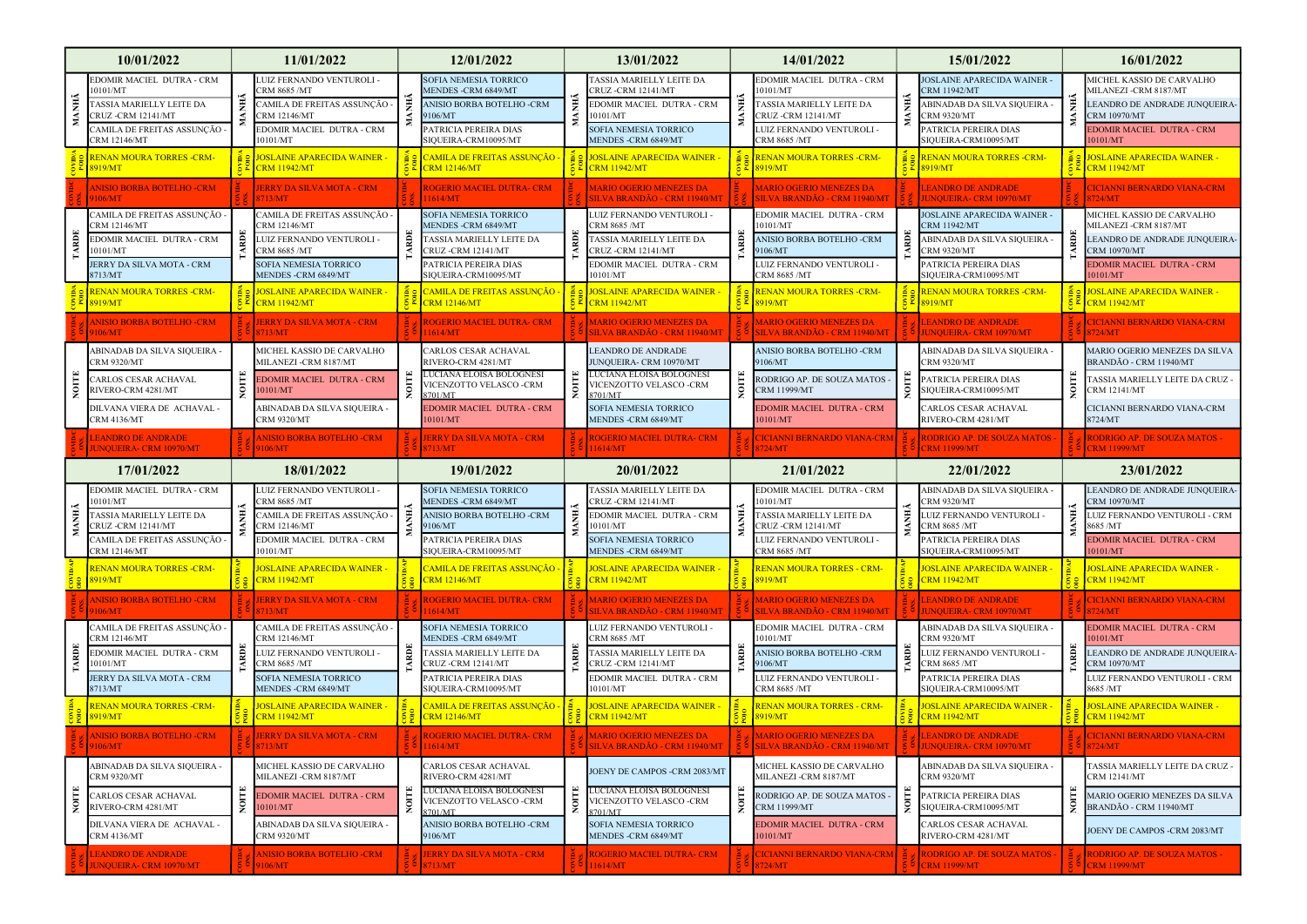|             | 10/01/2022                                                                                                                          |   | 11/01/2022                                                                                                                                | 12/01/2022                                                                                                                                         |             | 13/01/2022                                                                                                                               |       | 14/01/2022                                                                                                                                |             | 15/01/2022                                                                                                                                   | 16/01/2022                                                                                                                                        |
|-------------|-------------------------------------------------------------------------------------------------------------------------------------|---|-------------------------------------------------------------------------------------------------------------------------------------------|----------------------------------------------------------------------------------------------------------------------------------------------------|-------------|------------------------------------------------------------------------------------------------------------------------------------------|-------|-------------------------------------------------------------------------------------------------------------------------------------------|-------------|----------------------------------------------------------------------------------------------------------------------------------------------|---------------------------------------------------------------------------------------------------------------------------------------------------|
| MANHÃ       | EDOMIR MACIEL DUTRA - CRM<br>0101/MT<br>ASSIA MARIELLY LEITE DA<br>CRUZ -CRM 12141/MT<br>CAMILA DE FREITAS ASSUNÇÃO<br>CRM 12146/MT |   | LUIZ FERNANDO VENTUROLI -<br>:RM 8685 /MT<br>CAMILA DE FREITAS ASSUNÇÃO -<br>CRM 12146/MT<br>EDOMIR MACIEL DUTRA - CRM<br>10101/MT        | SOFIA NEMESIA TORRICO<br><b><i>AENDES -CRM 6849/MT</i></b><br>ANISIO BORBA BOTELHO -CRM<br>9106/MT<br>ATRICIA PEREIRA DIAS<br>SIQUEIRA-CRM10095/MT |             | TASSIA MARIELLY LEITE DA<br>CRUZ -CRM 12141/MT<br>EDOMIR MACIEL DUTRA - CRM<br>10101/MT<br>SOFIA NEMESIA TORRICO<br>MENDES - CRM 6849/MT |       | EDOMIR MACIEL DUTRA - CRM<br>0101/MT<br><b>TASSIA MARIELLY LEITE DA</b><br>CRUZ -CRM 12141/MT<br>UIZ FERNANDO VENTUROLI -<br>CRM 8685 /MT | MANHÃ       | <b>JOSLAINE APARECIDA WAINER</b><br>RM 11942/MT<br>ABINADAB DA SILVA SIQUEIRA<br>RM 9320/MT<br>PATRICIA PEREIRA DIAS<br>SIQUEIRA-CRM10095/MT | MICHEL KASSIO DE CARVALHO<br>MILANEZI -CRM 8187/MT<br>LEANDRO DE ANDRADE JUNQUEIRA<br>CRM 10970/MT<br><b>EDOMIR MACIEL DUTRA - CRM</b><br>0101/MT |
|             | <b>RENAN MOURA TORRES -CRM-</b><br>8919/MT                                                                                          |   | <b>IOSLAINE APARECIDA WAINER -</b><br><b>CRM 11942/MT</b>                                                                                 | <u> CAMILA DE FREITAS ASSUNÇÃO -</u><br><b>CRM 12146/MT</b>                                                                                        |             | <u>- JOSLAINE APARECIDA WAINER</u><br><b>CRM 11942/MT</b>                                                                                |       | RENAN MOURA TORRES -CRM-<br>8919/MT                                                                                                       |             | <b>RENAN MOURA TORRES -CRM-</b><br>8919/MT                                                                                                   | <mark>JOSLAINE APARECIDA WAINER -</mark><br>$5 \frac{2}{5}$ CRM 11942/MT                                                                          |
|             | NISIO BORBA BOTELHO -CRM<br>106/MT                                                                                                  |   | <b>JERRY DA SILVA MOTA - CRM</b><br>713/MT                                                                                                | <b>ROGERIO MACIEL DUTRA- CRM</b><br>1614/MT                                                                                                        |             | <b>MARIO OGERIO MENEZES DA</b><br>SILVA BRANDÃO - CRM 11940/MT                                                                           |       | <b>MARIO OGERIO MENEZES DA</b><br>SILVA BRANDÃO - CRM 11940/MT                                                                            |             | <b>LEANDRO DE ANDRADE</b><br><b>UNQUEIRA- CRM 10970/MT</b>                                                                                   | <b>CICIANNI BERNARDO VIANA-CRM</b><br>3724/MT                                                                                                     |
| <b>ARDE</b> | CAMILA DE FREITAS ASSUNÇÃO -<br>RM 12146/MT<br>EDOMIR MACIEL DUTRA - CRM<br>0101/MT<br>JERRY DA SILVA MOTA - CRM                    | ã | CAMILA DE FREITAS ASSUNÇÃO -<br>CRM 12146/MT<br>UIZ FERNANDO VENTUROLI -<br>CRM 8685 /MT<br>SOFIA NEMESIA TORRICO                         | <b>SOFIA NEMESIA TORRICO</b><br>MENDES -CRM 6849/MT<br>TASSIA MARIELLY LEITE DA<br>RUZ -CRM 12141/MT<br>PATRICIA PEREIRA DIAS                      | <b>ARDE</b> | LUIZ FERNANDO VENTUROLI -<br>CRM 8685 /MT<br>TASSIA MARIELLY LEITE DA<br>CRUZ -CRM 12141/MT<br>EDOMIR MACIEL DUTRA - CRM                 |       | EDOMIR MACIEL DUTRA - CRM<br>0101/MT<br>ANISIO BORBA BOTELHO -CRM<br>9106/MT<br>LUIZ FERNANDO VENTUROLI -                                 |             | <b>JOSLAINE APARECIDA WAINER</b><br>CRM 11942/MT<br>ABINADAB DA SILVA SIQUEIRA -<br>RM 9320/MT<br>PATRICIA PEREIRA DIAS                      | MICHEL KASSIO DE CARVALHO<br>MILANEZI -CRM 8187/MT<br>LEANDRO DE ANDRADE JUNQUEIRA<br>CRM 10970/MT<br>EDOMIR MACIEL DUTRA - CRM                   |
|             | 8713/MT<br><b>RENAN MOURA TORRES -CRM-</b><br>8919/MT                                                                               |   | MENDES -CRM 6849/MT<br><mark>JOSLAINE APARECIDA WAINER -</mark><br><b>CRM 11942/MT</b>                                                    | SIQUEIRA-CRM10095/MT<br><u> CAMILA DE FREITAS ASSUNÇÃO -</u><br><b>CRM 12146/MT</b>                                                                |             | 10101/MT<br><b>JOSLAINE APARECIDA WAINER</b><br><b>CRM 11942/MT</b>                                                                      |       | CRM 8685 /MT<br><mark>RENAN MOURA TORRES -CRM-</mark><br>8919/MT                                                                          |             | SIQUEIRA-CRM10095/MT<br><b>RENAN MOURA TORRES -CRM-</b><br>8919/MT                                                                           | 0101/MT<br><b>JOSLAINE APARECIDA WAINER -</b><br>$5 \times$ CRM 11942/MT                                                                          |
|             | <b>ANISIO BORBA BOTELHO -CRM</b><br>106/MT                                                                                          |   | <b>JERRY DA SILVA MOTA - CRM</b><br>3713/MT                                                                                               | <b>ROGERIO MACIEL DUTRA- CRM</b><br>11614/MT                                                                                                       |             | <b>MARIO OGERIO MENEZES DA</b><br>SILVA BRANDÃO - CRM 11940/MT                                                                           |       | <b>MARIO OGERIO MENEZES DA</b><br>SILVA BRANDÃO - CRM 11940/MT                                                                            |             | <b>LEANDRO DE ANDRADE</b><br>JUNQUEIRA- CRM 10970/MT                                                                                         | <b>CICIANNI BERNARDO VIANA-CRM</b><br>3724/MT                                                                                                     |
|             | ABINADAB DA SILVA SIQUEIRA -<br>RM 9320/MT                                                                                          |   | MICHEL KASSIO DE CARVALHO<br>MILANEZI -CRM 8187/MT                                                                                        | <b>CARLOS CESAR ACHAVAL</b><br><b>IVERO-CRM 4281/MT</b>                                                                                            |             | <b>LEANDRO DE ANDRADE</b><br>UNQUEIRA- CRM 10970/MT                                                                                      |       | ANISIO BORBA BOTELHO -CRM<br>106/MT                                                                                                       |             | ABINADAB DA SILVA SIQUEIRA -<br><b>RM 9320/MT</b>                                                                                            | MARIO OGERIO MENEZES DA SILVA<br>BRANDÃO - CRM 11940/MT                                                                                           |
| NOITE       | CARLOS CESAR ACHAVAL<br>RIVERO-CRM 4281/MT                                                                                          |   | <b>EDOMIR MACIEL DUTRA - CRM</b><br>0101/MT                                                                                               | LUCIANA ELOISA BOLOGNESI<br>VICENZOTTO VELASCO -CRM<br>8701/MT                                                                                     | NOITE       | LUCIANA ELOISA BOLOGNESI<br>VICENZOTTO VELASCO -CRM<br>8701/MT                                                                           |       | RODRIGO AP. DE SOUZA MATOS -<br>CRM 11999/MT                                                                                              | NOTE        | PATRICIA PEREIRA DIAS<br>SIQUEIRA-CRM10095/MT                                                                                                | ASSIA MARIELLY LEITE DA CRUZ<br>CRM 12141/MT                                                                                                      |
|             | DILVANA VIERA DE ACHAVAL -<br><b>CRM 4136/MT</b>                                                                                    |   | ABINADAB DA SILVA SIQUEIRA -<br>CRM 9320/MT                                                                                               | <b>EDOMIR MACIEL DUTRA - CRM</b><br>0101/MT                                                                                                        |             | SOFIA NEMESIA TORRICO<br><b>MENDES -CRM 6849/MT</b>                                                                                      |       | EDOMIR MACIEL DUTRA - CRM<br>0101/MT                                                                                                      |             | CARLOS CESAR ACHAVAL<br>RIVERO-CRM 4281/MT                                                                                                   | CICIANNI BERNARDO VIANA-CRM<br>8724/MT                                                                                                            |
|             | <b>EANDRO DE ANDRADE</b><br><b>UNQUEIRA- CRM 10970/MT</b>                                                                           |   | <b>ANISIO BORBA BOTELHO -CRM</b><br>9106/MT                                                                                               | <b>JERRY DA SILVA MOTA - CRM</b><br>8713/MT                                                                                                        |             | <b>ROGERIO MACIEL DUTRA- CRM</b><br>11614/MT                                                                                             |       | <b>CICIANNI BERNARDO VIANA-CRM</b><br>8724/MT                                                                                             |             | <b>RODRIGO AP. DE SOUZA MATOS -</b><br><b>CRM 11999/MT</b>                                                                                   | RODRIGO AP. DE SOUZA MATOS -<br><b>CRM 11999/MT</b>                                                                                               |
|             |                                                                                                                                     |   |                                                                                                                                           |                                                                                                                                                    |             |                                                                                                                                          |       |                                                                                                                                           |             |                                                                                                                                              |                                                                                                                                                   |
|             | 17/01/2022                                                                                                                          |   | 18/01/2022                                                                                                                                | 19/01/2022                                                                                                                                         |             | 20/01/2022                                                                                                                               |       | 21/01/2022                                                                                                                                |             | 22/01/2022                                                                                                                                   | 23/01/2022                                                                                                                                        |
| MANHÃ       | EDOMIR MACIEL DUTRA - CRM<br>0101/MT<br>ASSIA MARIELLY LEITE DA<br>CRUZ-CRM 12141/MT<br>CAMILA DE FREITAS ASSUNÇÃO -                |   | LUIZ FERNANDO VENTUROLI -<br>RM 8685 /MT<br>AMILA DE FREITAS ASSUNÇÃO :<br>CRM 12146/MT<br>EDOMIR MACIEL DUTRA - CRM                      | <b>SOFIA NEMESIA TORRICO</b><br><b><i>AENDES -CRM 6849/MT</i></b><br>ANISIO BORBA BOTELHO -CRM<br>9106/MT<br>PATRICIA PEREIRA DIAS                 |             | TASSIA MARIELLY LEITE DA<br>CRUZ-CRM 12141/MT<br>EDOMIR MACIEL DUTRA - CRM<br>10101/MT<br>SOFIA NEMESIA TORRICO                          | Ĕ     | EDOMIR MACIEL DUTRA - CRM<br>0101/MT<br><b>TASSIA MARIELLY LEITE DA</b><br>CRUZ -CRM 12141/MT<br>LUIZ FERNANDO VENTUROLI -                |             | ABINADAB DA SILVA SIQUEIRA<br>RM 9320/MT<br>LUIZ FERNANDO VENTUROLI -<br>CRM 8685 /MT<br>PATRICIA PEREIRA DIAS                               | LEANDRO DE ANDRADE JUNQUEIRA<br><b>RM 10970/MT</b><br>LUIZ FERNANDO VENTUROLI - CRM<br>8685 /MT<br><b>EDOMIR MACIEL DUTRA - CRM</b>               |
|             | CRM 12146/MT<br><b>RENAN MOURA TORRES -CRM-</b><br>8919/MT                                                                          |   | 10101/MT<br><b>OSLAINE APARECIDA WAINER -</b><br><mark>CRM 11942/MT</mark>                                                                | SIQUEIRA-CRM10095/MT<br>'AMILA DE FREITAS ASSUNÇÃO -<br><b>CRM 12146/MT</b>                                                                        |             | MENDES - CRM 6849/MT<br><b>JOSLAINE APARECIDA WAINER</b><br><b>CRM 11942/MT</b>                                                          |       | CRM 8685 /MT<br><b>RENAN MOURA TORRES - CRM-</b><br>3919/MT                                                                               |             | SIQUEIRA-CRM10095/MT<br><mark>JOSLAINE APARECIDA WAINER ·</mark><br><b>ERM 11942/MT</b>                                                      | 0101/MT<br><b>OSLAINE APARECIDA WAINER -</b><br><b>CRM 11942/MT</b>                                                                               |
|             | <b>ANISIO BORBA BOTELHO -CRM</b><br>106/MT                                                                                          |   | <b>JERRY DA SILVA MOTA - CRM</b><br>8713/MT                                                                                               | <b>ROGERIO MACIEL DUTRA- CRM</b><br>11614/MT                                                                                                       |             | <b>MARIO OGERIO MENEZES DA</b><br>SILVA BRANDÃO - CRM 11940/MT                                                                           |       | <b>MARIO OGERIO MENEZES DA</b><br>SILVA BRANDÃO - CRM 11940/MT                                                                            |             | <b>LEANDRO DE ANDRADE</b><br>JUNQUEIRA- CRM 10970/MT                                                                                         | <b>CICIANNI BERNARDO VIANA-CRM</b><br>8724/MT                                                                                                     |
| TARDE       | CAMILA DE FREITAS ASSUNÇÃO<br>CRM 12146/MT<br>EDOMIR MACIEL DUTRA - CRM<br>0101/MT<br><b>IERRY DA SILVA MOTA - CRM</b><br>8713/MT   |   | CAMILA DE FREITAS ASSUNÇÃO -<br>CRM 12146/MT<br>LUIZ FERNANDO VENTUROLI -<br>CRM 8685 /MT<br>SOFIA NEMESIA TORRICO<br>MENDES -CRM 6849/MT | SOFIA NEMESIA TORRICO<br>MENDES -CRM 6849/MT<br>TASSIA MARIELLY LEITE DA<br>RUZ -CRM 12141/MT<br>ATRICIA PEREIRA DIAS<br>SIQUEIRA-CRM10095/MT      | <b>RDI</b>  | LUIZ FERNANDO VENTUROLI -<br>CRM 8685 /MT<br>TASSIA MARIELLY LEITE DA<br>CRUZ-CRM 12141/MT<br>EDOMIR MACIEL DUTRA - CRM<br>10101/MT      |       | EDOMIR MACIEL DUTRA - CRM<br>0101/MT<br>ANISIO BORBA BOTELHO -CRM<br>9106/MT<br>LUIZ FERNANDO VENTUROLI -<br>CRM 8685 /MT                 | <b>EARD</b> | ABINADAB DA SILVA SIQUEIRA -<br>CRM 9320/MT<br>UIZ FERNANDO VENTUROLI -<br>RM 8685 /MT<br>PATRICIA PEREIRA DIAS<br>SIQUEIRA-CRM10095/MT      | DOMIR MACIEL DUTRA - CRM<br>0101/MT<br>LEANDRO DE ANDRADE JUNQUEIRA<br>CRM 10970/MT<br>UIZ FERNANDO VENTUROLI - CRM<br>8685 /MT                   |
|             | <u>RENAN MOURA TORRES -CRM-</u><br>8919/MT                                                                                          |   | <b>OSLAINE APARECIDA WAINER -</b><br><b>RM 11942/MT</b>                                                                                   | <u>'AMILA DE FREITAS ASSUNÇÃO -</u><br><b>RM 12146/MT</b>                                                                                          |             | <b>JOSLAINE APARECIDA WAINER</b><br><b>CRM 11942/MT</b>                                                                                  |       | RENAN MOURA TORRES - CRM-<br>8919/MT                                                                                                      |             | OSLAINE APARECIDA WAINER -<br><u>ERM 11942/MT</u>                                                                                            | <b>OSLAINE APARECIDA WAINER -</b><br>CRM 11942/MT                                                                                                 |
|             | ANISIO BORBA BOTELHO -CRM<br>$\frac{1}{9106}$ MT                                                                                    |   | <b>JERRY DA SILVA MOTA - CRM</b><br>8713/MT                                                                                               | <b>ROGERIO MACIEL DUTRA- CRM</b><br>$\frac{2}{9}$ $\frac{6}{11614 \text{MT}}$                                                                      |             | <b>MARIO OGERIO MENEZES DA</b>                                                                                                           |       | <b>MARIO OGERIO MENEZES DA</b><br>$\frac{2}{3}$ SILVA BRANDÃO - CRM 11940/MT $\frac{2}{3}$ SILVA BRANDÃO - CRM 11940/MT                   |             | LEANDRO DE ANDRADE<br>$\frac{2}{5}$ UNQUEIRA- CRM 10970/MT                                                                                   | ă "  CICIANNI BERNARDO VIANA-CRM<br>$5 \circ 8724 \text{/MT}$                                                                                     |
|             | ABINADAB DA SILVA SIQUEIRA<br><b>CRM 9320/MT</b>                                                                                    |   | MICHEL KASSIO DE CARVALHO<br>MILANEZI -CRM 8187/MT                                                                                        | ARLOS CESAR ACHAVAL<br>RIVERO-CRM 4281/MT                                                                                                          |             | OENY DE CAMPOS -CRM 2083/MT                                                                                                              |       | MICHEL KASSIO DE CARVALHO<br>MILANEZI -CRM 8187/MT                                                                                        |             | ABINADAB DA SILVA SIQUEIRA<br>CRM 9320/MT                                                                                                    | <b>TASSIA MARIELLY LEITE DA CRUZ -</b><br>CRM 12141/MT                                                                                            |
| NOITE       | CARLOS CESAR ACHAVAL<br>RIVERO-CRM 4281/MT                                                                                          |   | EDOMIR MACIEL DUTRA - CRM<br>10101/MT                                                                                                     | EL LUCIANA ELOISA BOLOGNESI<br>VICENZOTTO VELASCO -CRM<br>8701/MT<br>3701/MT                                                                       | NOITE       | LUCIANA ELOISA BOLOGNESI<br>VICENZOTTO VELASCO -CRM<br>8701/MT                                                                           | NOITE | RODRIGO AP. DE SOUZA MATOS -<br>CRM 11999/MT                                                                                              | NOITE       | PATRICIA PEREIRA DIAS<br>SIQUEIRA-CRM10095/MT                                                                                                | MARIO OGERIO MENEZES DA SILVA<br>BRANDÃO - CRM 11940/MT                                                                                           |
|             | DILVANA VIERA DE ACHAVAL -<br>CRM 4136/MT<br><b>LEANDRO DE ANDRADE</b>                                                              |   | ABINADAB DA SILVA SIQUEIRA -<br>CRM 9320/MT<br><b>ANISIO BORBA BOTELHO -CRM</b>                                                           | ANISIO BORBA BOTELHO -CRM<br>9106/MT<br><b>JERRY DA SILVA MOTA - CRM</b>                                                                           |             | SOFIA NEMESIA TORRICO<br>MENDES -CRM 6849/MT<br><b>ROGERIO MACIEL DUTRA- CRM</b>                                                         |       | EDOMIR MACIEL DUTRA - CRM<br>0101/MT<br>CICIANNI BERNARDO VIANA-CRM                                                                       |             | CARLOS CESAR ACHAVAL<br>RIVERO-CRM 4281/MT<br><b>RODRIGO AP. DE SOUZA MATOS -</b>                                                            | OENY DE CAMPOS -CRM 2083/MT<br><b>RODRIGO AP. DE SOUZA MATOS -</b>                                                                                |